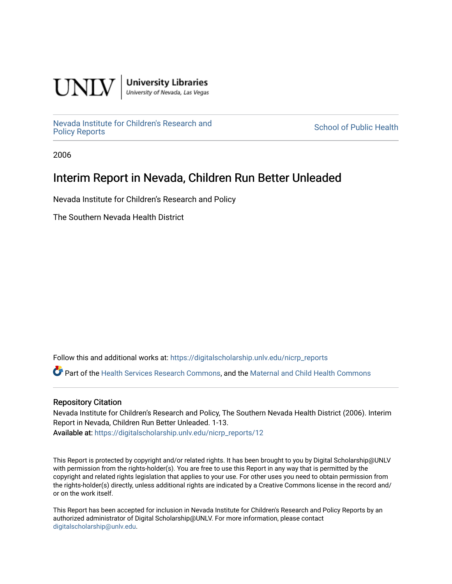

**University Libraries**<br>University of Nevada, Las Vegas

[Nevada Institute for Children's Research and](https://digitalscholarship.unlv.edu/nicrp_reports)

**School of Public Health** 

2006

## Interim Report in Nevada, Children Run Better Unleaded

Nevada Institute for Children's Research and Policy

The Southern Nevada Health District

Follow this and additional works at: [https://digitalscholarship.unlv.edu/nicrp\\_reports](https://digitalscholarship.unlv.edu/nicrp_reports?utm_source=digitalscholarship.unlv.edu%2Fnicrp_reports%2F12&utm_medium=PDF&utm_campaign=PDFCoverPages)

Part of the [Health Services Research Commons,](http://network.bepress.com/hgg/discipline/816?utm_source=digitalscholarship.unlv.edu%2Fnicrp_reports%2F12&utm_medium=PDF&utm_campaign=PDFCoverPages) and the [Maternal and Child Health Commons](http://network.bepress.com/hgg/discipline/745?utm_source=digitalscholarship.unlv.edu%2Fnicrp_reports%2F12&utm_medium=PDF&utm_campaign=PDFCoverPages) 

#### Repository Citation

Nevada Institute for Children's Research and Policy, The Southern Nevada Health District (2006). Interim Report in Nevada, Children Run Better Unleaded. 1-13. Available at: [https://digitalscholarship.unlv.edu/nicrp\\_reports/12](https://digitalscholarship.unlv.edu/nicrp_reports/12) 

This Report is protected by copyright and/or related rights. It has been brought to you by Digital Scholarship@UNLV with permission from the rights-holder(s). You are free to use this Report in any way that is permitted by the copyright and related rights legislation that applies to your use. For other uses you need to obtain permission from the rights-holder(s) directly, unless additional rights are indicated by a Creative Commons license in the record and/ or on the work itself.

This Report has been accepted for inclusion in Nevada Institute for Children's Research and Policy Reports by an authorized administrator of Digital Scholarship@UNLV. For more information, please contact [digitalscholarship@unlv.edu](mailto:digitalscholarship@unlv.edu).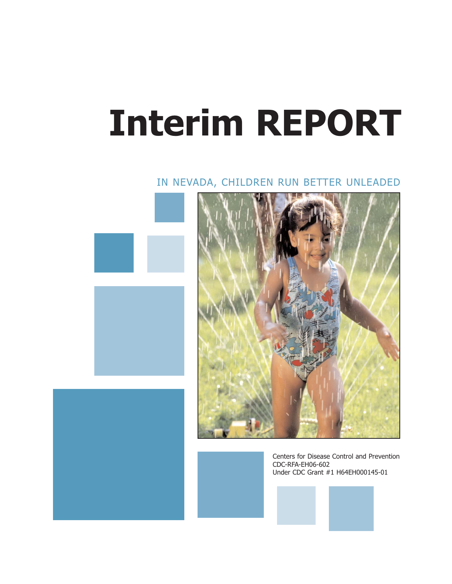# **Interim REPORT**

### IN NEVADA, CHILDREN RUN BETTER UNLEADED







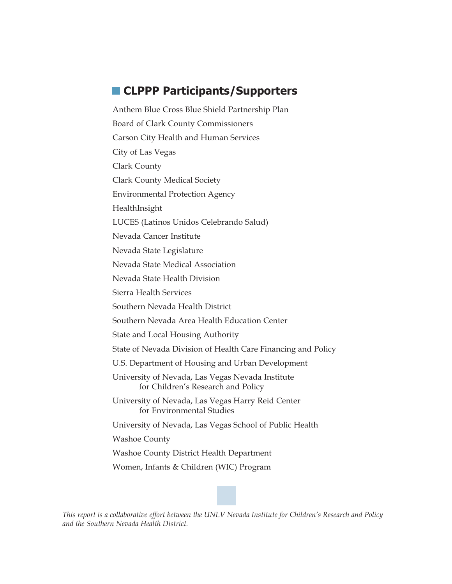## **CLPPP Participants/Supporters**

Anthem Blue Cross Blue Shield Partnership Plan Board of Clark County Commissioners Carson City Health and Human Services City of Las Vegas Clark County Clark County Medical Society Environmental Protection Agency HealthInsight LUCES (Latinos Unidos Celebrando Salud) Nevada Cancer Institute Nevada State Legislature Nevada State Medical Association Nevada State Health Division Sierra Health Services Southern Nevada Health District Southern Nevada Area Health Education Center State and Local Housing Authority State of Nevada Division of Health Care Financing and Policy U.S. Department of Housing and Urban Development University of Nevada, Las Vegas Nevada Institute for Children's Research and Policy University of Nevada, Las Vegas Harry Reid Center for Environmental Studies University of Nevada, Las Vegas School of Public Health Washoe County Washoe County District Health Department Women, Infants & Children (WIC) Program



*This report is a collaborative effort between the UNLV Nevada Institute for Children's Research and Policy and the Southern Nevada Health District.*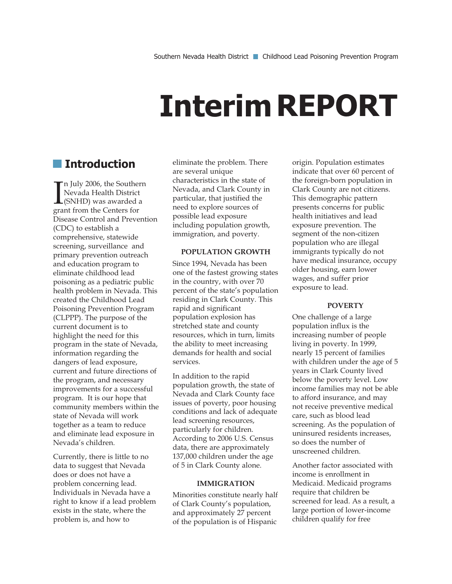## **Interim REPORT**

## **Introduction**

 $\prod_{\text{gra}}$ n July 2006, the Southern Nevada Health District (SNHD) was awarded a grant from the Centers for Disease Control and Prevention (CDC) to establish a comprehensive, statewide screening, surveillance and primary prevention outreach and education program to eliminate childhood lead poisoning as a pediatric public health problem in Nevada. This created the Childhood Lead Poisoning Prevention Program (CLPPP). The purpose of the current document is to highlight the need for this program in the state of Nevada, information regarding the dangers of lead exposure, current and future directions of the program, and necessary improvements for a successful program. It is our hope that community members within the state of Nevada will work together as a team to reduce and eliminate lead exposure in Nevada's children.

Currently, there is little to no data to suggest that Nevada does or does not have a problem concerning lead. Individuals in Nevada have a right to know if a lead problem exists in the state, where the problem is, and how to

eliminate the problem. There are several unique characteristics in the state of Nevada, and Clark County in particular, that justified the need to explore sources of possible lead exposure including population growth, immigration, and poverty.

#### **POPULATION GROWTH**

Since 1994, Nevada has been one of the fastest growing states in the country, with over 70 percent of the state's population residing in Clark County. This rapid and significant population explosion has stretched state and county resources, which in turn, limits the ability to meet increasing demands for health and social services.

In addition to the rapid population growth, the state of Nevada and Clark County face issues of poverty, poor housing conditions and lack of adequate lead screening resources, particularly for children. According to 2006 U.S. Census data, there are approximately 137,000 children under the age of 5 in Clark County alone.

#### **IMMIGRATION**

Minorities constitute nearly half of Clark County's population, and approximately 27 percent of the population is of Hispanic

origin. Population estimates indicate that over 60 percent of the foreign-born population in Clark County are not citizens. This demographic pattern presents concerns for public health initiatives and lead exposure prevention. The segment of the non-citizen population who are illegal immigrants typically do not have medical insurance, occupy older housing, earn lower wages, and suffer prior exposure to lead.

#### **POVERTY**

One challenge of a large population influx is the increasing number of people living in poverty. In 1999, nearly 15 percent of families with children under the age of 5 years in Clark County lived below the poverty level. Low income families may not be able to afford insurance, and may not receive preventive medical care, such as blood lead screening. As the population of uninsured residents increases, so does the number of unscreened children.

Another factor associated with income is enrollment in Medicaid. Medicaid programs require that children be screened for lead. As a result, a large portion of lower-income children qualify for free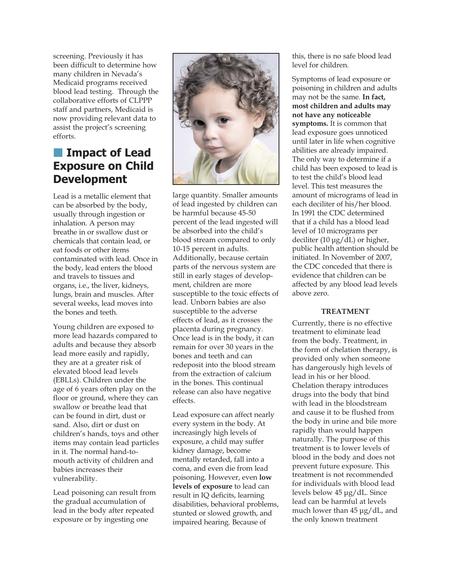screening. Previously it has been difficult to determine how many children in Nevada's Medicaid programs received blood lead testing. Through the collaborative efforts of CLPPP staff and partners, Medicaid is now providing relevant data to assist the project's screening efforts.

#### **Impact of Lead**  $\mathcal{L}_{\mathcal{A}}$ **Exposure on Child Development**

Lead is a metallic element that can be absorbed by the body, usually through ingestion or inhalation. A person may breathe in or swallow dust or chemicals that contain lead, or eat foods or other items contaminated with lead. Once in the body, lead enters the blood and travels to tissues and organs, i.e., the liver, kidneys, lungs, brain and muscles. After several weeks, lead moves into the bones and teeth.

Young children are exposed to more lead hazards compared to adults and because they absorb lead more easily and rapidly, they are at a greater risk of elevated blood lead levels (EBLLs). Children under the age of 6 years often play on the floor or ground, where they can swallow or breathe lead that can be found in dirt, dust or sand. Also, dirt or dust on children's hands, toys and other items may contain lead particles in it. The normal hand-tomouth activity of children and babies increases their vulnerability.

Lead poisoning can result from the gradual accumulation of lead in the body after repeated exposure or by ingesting one



large quantity. Smaller amounts of lead ingested by children can be harmful because 45-50 percent of the lead ingested will be absorbed into the child's blood stream compared to only 10-15 percent in adults. Additionally, because certain parts of the nervous system are still in early stages of development, children are more susceptible to the toxic effects of lead. Unborn babies are also susceptible to the adverse effects of lead, as it crosses the placenta during pregnancy. Once lead is in the body, it can remain for over 30 years in the bones and teeth and can redeposit into the blood stream from the extraction of calcium in the bones. This continual release can also have negative effects.

Lead exposure can affect nearly every system in the body. At increasingly high levels of exposure, a child may suffer kidney damage, become mentally retarded, fall into a coma, and even die from lead poisoning. However, even **low levels of exposure** to lead can result in IQ deficits, learning disabilities, behavioral problems, stunted or slowed growth, and impaired hearing. Because of

this, there is no safe blood lead level for children.

Symptoms of lead exposure or poisoning in children and adults may not be the same. **In fact, most children and adults may not have any noticeable symptoms.** It is common that lead exposure goes unnoticed until later in life when cognitive abilities are already impaired. The only way to determine if a child has been exposed to lead is to test the child's blood lead level. This test measures the amount of micrograms of lead in each deciliter of his/her blood. In 1991 the CDC determined that if a child has a blood lead level of 10 micrograms per deciliter (10 μg/dL) or higher, public health attention should be initiated. In November of 2007, the CDC conceded that there is evidence that children can be affected by any blood lead levels above zero.

#### **TREATMENT**

Currently, there is no effective treatment to eliminate lead from the body. Treatment, in the form of chelation therapy, is provided only when someone has dangerously high levels of lead in his or her blood. Chelation therapy introduces drugs into the body that bind with lead in the bloodstream and cause it to be flushed from the body in urine and bile more rapidly than would happen naturally. The purpose of this treatment is to lower levels of blood in the body and does not prevent future exposure. This treatment is not recommended for individuals with blood lead levels below 45 μg/dL. Since lead can be harmful at levels much lower than 45 μg/dL, and the only known treatment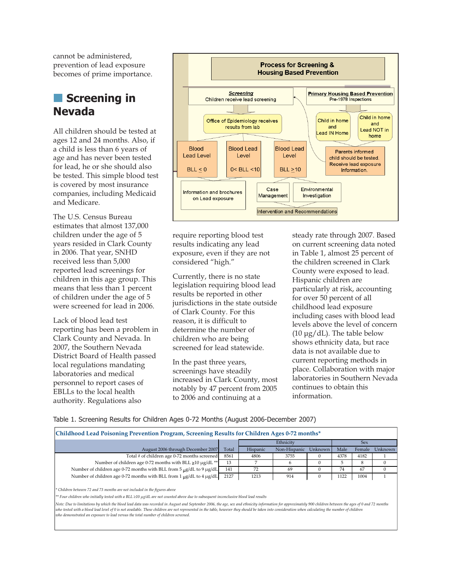cannot be administered, prevention of lead exposure becomes of prime importance.

## **Screening in Nevada**

All children should be tested at ages 12 and 24 months. Also, if a child is less than 6 years of age and has never been tested for lead, he or she should also be tested. This simple blood test is covered by most insurance companies, including Medicaid and Medicare.

The U.S. Census Bureau estimates that almost 137,000 children under the age of 5 years resided in Clark County in 2006. That year, SNHD received less than 5,000 reported lead screenings for children in this age group. This means that less than 1 percent of children under the age of 5 were screened for lead in 2006.

Lack of blood lead test reporting has been a problem in Clark County and Nevada. In 2007, the Southern Nevada District Board of Health passed local regulations mandating laboratories and medical personnel to report cases of EBLLs to the local health authority. Regulations also



require reporting blood test results indicating any lead exposure, even if they are not considered "high."

Currently, there is no state legislation requiring blood lead results be reported in other jurisdictions in the state outside of Clark County. For this reason, it is difficult to determine the number of children who are being screened for lead statewide.

In the past three years, screenings have steadily increased in Clark County, most notably by 47 percent from 2005 to 2006 and continuing at a

steady rate through 2007. Based on current screening data noted in Table 1, almost 25 percent of the children screened in Clark County were exposed to lead. Hispanic children are particularly at risk, accounting for over 50 percent of all childhood lead exposure including cases with blood lead levels above the level of concern  $(10 \mu g/dL)$ . The table below shows ethnicity data, but race data is not available due to current reporting methods in place. Collaboration with major laboratories in Southern Nevada continues to obtain this information.

Table 1. Screening Results for Children Ages 0-72 Months (August 2006-December 2007)

| Childhood Lead Poisoning Prevention Program, Screening Results for Children Ages 0-72 months* |       |           |              |         |      |        |         |
|-----------------------------------------------------------------------------------------------|-------|-----------|--------------|---------|------|--------|---------|
|                                                                                               |       | Ethnicity |              |         | Sex  |        |         |
| August 2006 through December 2007                                                             | Total | Hispanic  | Non-Hispanic | Unknown | Male | Female | Unknown |
| Total # of children age 0-72 months screened                                                  | 8561  | 4806      | 3755         |         | 4378 | 4182   |         |
| Number of children age 0-72 months with BLL ≥10 µg/dL **                                      | 13    |           |              |         |      | 8      |         |
| Number of children age 0-72 months with BLL from 5 ug/dL to 9 ug/dL                           | 141   | 72        | 69           |         | 74   | 67     |         |
| Number of children age 0-72 months with BLL from 1 ug/dL to 4 µg/dL                           | 2127  | 1213      | 914          |         | 1122 | 1004   |         |

*\* Children between 72 and 73 months are not included in the figures above*

*\*\* Four children who initially tested with a BLL ≥10 μg/dL are not counted above due to subsequent inconclusive blood lead results*

*Note: Due to limitations by which the blood lead data was recorded in August and September 2006, the age, sex and ethnicity information for approximately 900 children between the ages of 0 and 72 months who tested with a blood lead level of 0 is not available. These children are not represented in the table, however they should be taken into consideration when calculating the number of children who demonstrated an exposure to lead versus the total number of children screened.*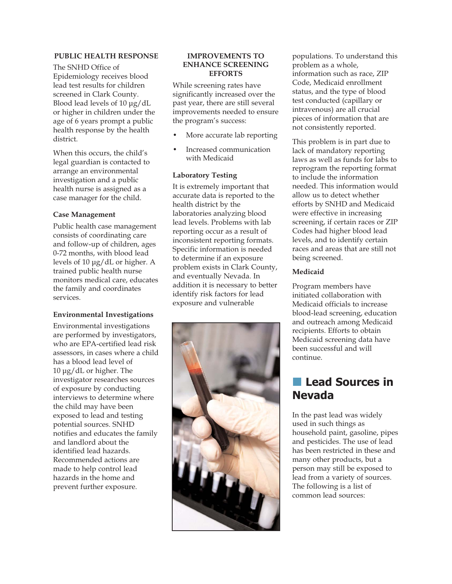#### **PUBLIC HEALTH RESPONSE**

The SNHD Office of Epidemiology receives blood lead test results for children screened in Clark County. Blood lead levels of 10 μg/dL or higher in children under the age of 6 years prompt a public health response by the health district.

When this occurs, the child's legal guardian is contacted to arrange an environmental investigation and a public health nurse is assigned as a case manager for the child.

#### **Case Management**

Public health case management consists of coordinating care and follow-up of children, ages 0-72 months, with blood lead levels of 10 μg/dL or higher. A trained public health nurse monitors medical care, educates the family and coordinates services.

#### **Environmental Investigations**

Environmental investigations are performed by investigators, who are EPA-certified lead risk assessors, in cases where a child has a blood lead level of 10 μg/dL or higher. The investigator researches sources of exposure by conducting interviews to determine where the child may have been exposed to lead and testing potential sources. SNHD notifies and educates the family and landlord about the identified lead hazards. Recommended actions are made to help control lead hazards in the home and prevent further exposure.

#### **IMPROVEMENTS TO ENHANCE SCREENING EFFORTS**

While screening rates have significantly increased over the past year, there are still several improvements needed to ensure the program's success:

- More accurate lab reporting
- Increased communication with Medicaid

#### **Laboratory Testing**

It is extremely important that accurate data is reported to the health district by the laboratories analyzing blood lead levels. Problems with lab reporting occur as a result of inconsistent reporting formats. Specific information is needed to determine if an exposure problem exists in Clark County, and eventually Nevada. In addition it is necessary to better identify risk factors for lead exposure and vulnerable



populations. To understand this problem as a whole, information such as race, ZIP Code, Medicaid enrollment status, and the type of blood test conducted (capillary or intravenous) are all crucial pieces of information that are not consistently reported.

This problem is in part due to lack of mandatory reporting laws as well as funds for labs to reprogram the reporting format to include the information needed. This information would allow us to detect whether efforts by SNHD and Medicaid were effective in increasing screening, if certain races or ZIP Codes had higher blood lead levels, and to identify certain races and areas that are still not being screened.

#### **Medicaid**

Program members have initiated collaboration with Medicaid officials to increase blood-lead screening, education and outreach among Medicaid recipients. Efforts to obtain Medicaid screening data have been successful and will continue.

## **Lead Sources in Nevada**

In the past lead was widely used in such things as household paint, gasoline, pipes and pesticides. The use of lead has been restricted in these and many other products, but a person may still be exposed to lead from a variety of sources. The following is a list of common lead sources: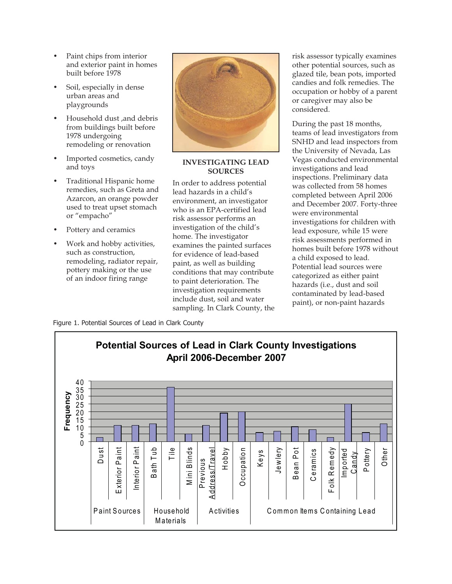- Paint chips from interior and exterior paint in homes built before 1978
- Soil, especially in dense urban areas and playgrounds
- Household dust ,and debris from buildings built before 1978 undergoing remodeling or renovation
- Imported cosmetics, candy and toys
- Traditional Hispanic home remedies, such as Greta and Azarcon, an orange powder used to treat upset stomach or "empacho"
- Pottery and ceramics
- Work and hobby activities, such as construction, remodeling, radiator repair, pottery making or the use of an indoor firing range



**INVESTIGATING LEAD SOURCES**

In order to address potential lead hazards in a child's environment, an investigator who is an EPA-certified lead risk assessor performs an investigation of the child's home. The investigator examines the painted surfaces for evidence of lead-based paint, as well as building conditions that may contribute to paint deterioration. The investigation requirements include dust, soil and water sampling. In Clark County, the risk assessor typically examines other potential sources, such as glazed tile, bean pots, imported candies and folk remedies. The occupation or hobby of a parent or caregiver may also be considered.

During the past 18 months, teams of lead investigators from SNHD and lead inspectors from the University of Nevada, Las Vegas conducted environmental investigations and lead inspections. Preliminary data was collected from 58 homes completed between April 2006 and December 2007. Forty-three were environmental investigations for children with lead exposure, while 15 were risk assessments performed in homes built before 1978 without a child exposed to lead. Potential lead sources were categorized as either paint hazards (i.e., dust and soil contaminated by lead-based paint), or non-paint hazards

Figure 1. Potential Sources of Lead in Clark County

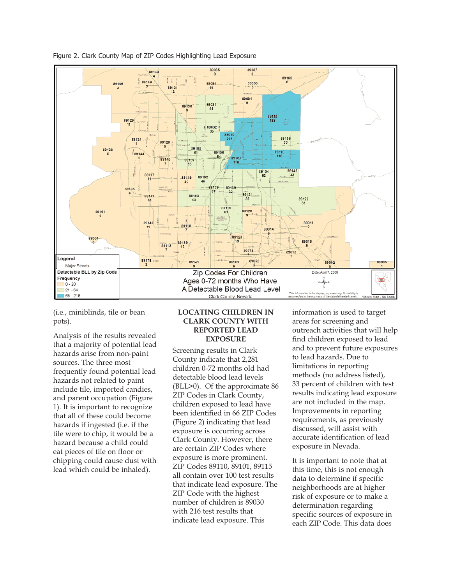

Figure 2. Clark County Map of ZIP Codes Highlighting Lead Exposure

(i.e., miniblinds, tile or bean pots).

Analysis of the results revealed that a majority of potential lead hazards arise from non-paint sources. The three most frequently found potential lead hazards not related to paint include tile, imported candies, and parent occupation (Figure 1). It is important to recognize that all of these could become hazards if ingested (i.e. if the tile were to chip, it would be a hazard because a child could eat pieces of tile on floor or chipping could cause dust with lead which could be inhaled).

#### **LOCATING CHILDREN IN CLARK COUNTY WITH REPORTED LEAD EXPOSURE**

Screening results in Clark County indicate that 2,281 children 0-72 months old had detectable blood lead levels (BLL>0). Of the approximate 86 ZIP Codes in Clark County, children exposed to lead have been identified in 66 ZIP Codes (Figure 2) indicating that lead exposure is occurring across Clark County. However, there are certain ZIP Codes where exposure is more prominent. ZIP Codes 89110, 89101, 89115 all contain over 100 test results that indicate lead exposure. The ZIP Code with the highest number of children is 89030 with 216 test results that indicate lead exposure. This

information is used to target areas for screening and outreach activities that will help find children exposed to lead and to prevent future exposures to lead hazards. Due to limitations in reporting methods (no address listed), 33 percent of children with test results indicating lead exposure are not included in the map. Improvements in reporting requirements, as previously discussed, will assist with accurate identification of lead exposure in Nevada.

It is important to note that at this time, this is not enough data to determine if specific neighborhoods are at higher risk of exposure or to make a determination regarding specific sources of exposure in each ZIP Code. This data does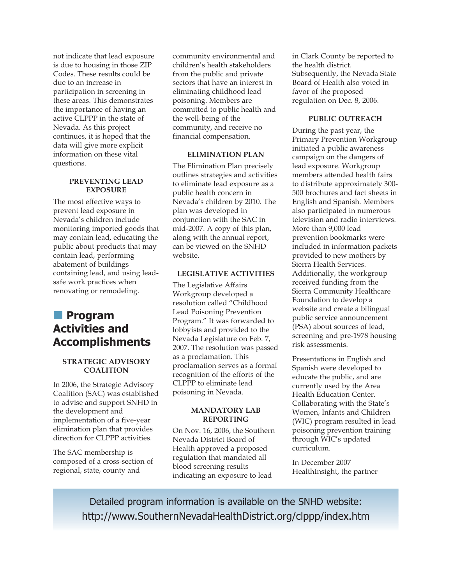not indicate that lead exposure is due to housing in those ZIP Codes. These results could be due to an increase in participation in screening in these areas. This demonstrates the importance of having an active CLPPP in the state of Nevada. As this project continues, it is hoped that the data will give more explicit information on these vital questions.

#### **PREVENTING LEAD EXPOSURE**

The most effective ways to prevent lead exposure in Nevada's children include monitoring imported goods that may contain lead, educating the public about products that may contain lead, performing abatement of buildings containing lead, and using leadsafe work practices when renovating or remodeling.

## **Program Activities and Accomplishments**

#### **STRATEGIC ADVISORY COALITION**

In 2006, the Strategic Advisory Coalition (SAC) was established to advise and support SNHD in the development and implementation of a five-year elimination plan that provides direction for CLPPP activities.

The SAC membership is composed of a cross-section of regional, state, county and

community environmental and children's health stakeholders from the public and private sectors that have an interest in eliminating childhood lead poisoning. Members are committed to public health and the well-being of the community, and receive no financial compensation.

#### **ELIMINATION PLAN**

The Elimination Plan precisely outlines strategies and activities to eliminate lead exposure as a public health concern in Nevada's children by 2010. The plan was developed in conjunction with the SAC in mid-2007. A copy of this plan, along with the annual report, can be viewed on the SNHD website.

#### **LEGISLATIVE ACTIVITIES**

The Legislative Affairs Workgroup developed a resolution called "Childhood Lead Poisoning Prevention Program." It was forwarded to lobbyists and provided to the Nevada Legislature on Feb. 7, 2007. The resolution was passed as a proclamation. This proclamation serves as a formal recognition of the efforts of the CLPPP to eliminate lead poisoning in Nevada.

#### **MANDATORY LAB REPORTING**

On Nov. 16, 2006, the Southern Nevada District Board of Health approved a proposed regulation that mandated all blood screening results indicating an exposure to lead

in Clark County be reported to the health district. Subsequently, the Nevada State Board of Health also voted in favor of the proposed regulation on Dec. 8, 2006.

#### **PUBLIC OUTREACH**

During the past year, the Primary Prevention Workgroup initiated a public awareness campaign on the dangers of lead exposure. Workgroup members attended health fairs to distribute approximately 300- 500 brochures and fact sheets in English and Spanish. Members also participated in numerous television and radio interviews. More than 9,000 lead prevention bookmarks were included in information packets provided to new mothers by Sierra Health Services. Additionally, the workgroup received funding from the Sierra Community Healthcare Foundation to develop a website and create a bilingual public service announcement (PSA) about sources of lead, screening and pre-1978 housing risk assessments.

Presentations in English and Spanish were developed to educate the public, and are currently used by the Area Health Education Center. Collaborating with the State's Women, Infants and Children (WIC) program resulted in lead poisoning prevention training through WIC's updated curriculum.

In December 2007 HealthInsight, the partner

Detailed program information is available on the SNHD website: http://www.SouthernNevadaHealthDistrict.org/clppp/index.htm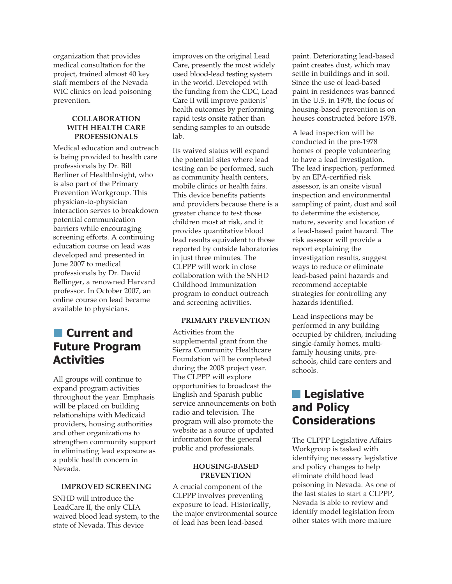organization that provides medical consultation for the project, trained almost 40 key staff members of the Nevada WIC clinics on lead poisoning prevention.

#### **COLLABORATION WITH HEALTH CARE PROFESSIONALS**

Medical education and outreach is being provided to health care professionals by Dr. Bill Berliner of HealthInsight, who is also part of the Primary Prevention Workgroup. This physician-to-physician interaction serves to breakdown potential communication barriers while encouraging screening efforts. A continuing education course on lead was developed and presented in June 2007 to medical professionals by Dr. David Bellinger, a renowned Harvard professor. In October 2007, an online course on lead became available to physicians.

## **Current and Future Program Activities**

All groups will continue to expand program activities throughout the year. Emphasis will be placed on building relationships with Medicaid providers, housing authorities and other organizations to strengthen community support in eliminating lead exposure as a public health concern in Nevada.

#### **IMPROVED SCREENING**

SNHD will introduce the LeadCare II, the only CLIA waived blood lead system, to the state of Nevada. This device

improves on the original Lead Care, presently the most widely used blood-lead testing system in the world. Developed with the funding from the CDC, Lead Care II will improve patients' health outcomes by performing rapid tests onsite rather than sending samples to an outside lab.

Its waived status will expand the potential sites where lead testing can be performed, such as community health centers, mobile clinics or health fairs. This device benefits patients and providers because there is a greater chance to test those children most at risk, and it provides quantitative blood lead results equivalent to those reported by outside laboratories in just three minutes. The CLPPP will work in close collaboration with the SNHD Childhood Immunization program to conduct outreach and screening activities.

#### **PRIMARY PREVENTION**

Activities from the supplemental grant from the Sierra Community Healthcare Foundation will be completed during the 2008 project year. The CLPPP will explore opportunities to broadcast the English and Spanish public service announcements on both radio and television. The program will also promote the website as a source of updated information for the general public and professionals.

#### **HOUSING-BASED PREVENTION**

A crucial component of the CLPPP involves preventing exposure to lead. Historically, the major environmental source of lead has been lead-based

paint. Deteriorating lead-based paint creates dust, which may settle in buildings and in soil. Since the use of lead-based paint in residences was banned in the U.S. in 1978, the focus of housing-based prevention is on houses constructed before 1978.

A lead inspection will be conducted in the pre-1978 homes of people volunteering to have a lead investigation. The lead inspection, performed by an EPA-certified risk assessor, is an onsite visual inspection and environmental sampling of paint, dust and soil to determine the existence, nature, severity and location of a lead-based paint hazard. The risk assessor will provide a report explaining the investigation results, suggest ways to reduce or eliminate lead-based paint hazards and recommend acceptable strategies for controlling any hazards identified.

Lead inspections may be performed in any building occupied by children, including single-family homes, multifamily housing units, preschools, child care centers and schools.

## **Legislative and Policy Considerations**

The CLPPP Legislative Affairs Workgroup is tasked with identifying necessary legislative and policy changes to help eliminate childhood lead poisoning in Nevada. As one of the last states to start a CLPPP, Nevada is able to review and identify model legislation from other states with more mature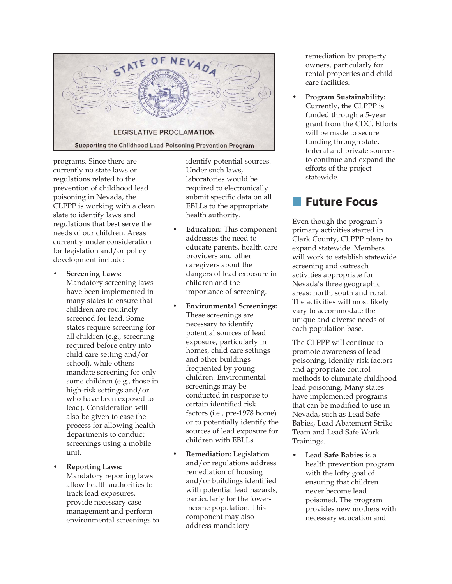

programs. Since there are currently no state laws or regulations related to the prevention of childhood lead poisoning in Nevada, the CLPPP is working with a clean slate to identify laws and regulations that best serve the needs of our children. Areas currently under consideration for legislation and/or policy development include:

• **Screening Laws:**

Mandatory screening laws have been implemented in many states to ensure that children are routinely screened for lead. Some states require screening for all children (e.g., screening required before entry into child care setting and/or school), while others mandate screening for only some children (e.g., those in high-risk settings and/or who have been exposed to lead). Consideration will also be given to ease the process for allowing health departments to conduct screenings using a mobile unit.

• **Reporting Laws:** Mandatory reporting laws allow health authorities to track lead exposures, provide necessary case management and perform environmental screenings to

identify potential sources. Under such laws, laboratories would be required to electronically submit specific data on all EBLLs to the appropriate health authority.

- **Education:** This component addresses the need to educate parents, health care providers and other caregivers about the dangers of lead exposure in children and the importance of screening.
- **Environmental Screenings:** These screenings are necessary to identify potential sources of lead exposure, particularly in homes, child care settings and other buildings frequented by young children. Environmental screenings may be conducted in response to certain identified risk factors (i.e., pre-1978 home) or to potentially identify the sources of lead exposure for children with EBLLs.
- **Remediation:** Legislation and/or regulations address remediation of housing and/or buildings identified with potential lead hazards, particularly for the lowerincome population. This component may also address mandatory

remediation by property owners, particularly for rental properties and child care facilities.

• **Program Sustainability:** Currently, the CLPPP is funded through a 5-year grant from the CDC. Efforts will be made to secure funding through state, federal and private sources to continue and expand the efforts of the project statewide.

## **Future Focus**

Even though the program's primary activities started in Clark County, CLPPP plans to expand statewide. Members will work to establish statewide screening and outreach activities appropriate for Nevada's three geographic areas: north, south and rural. The activities will most likely vary to accommodate the unique and diverse needs of each population base.

The CLPPP will continue to promote awareness of lead poisoning, identify risk factors and appropriate control methods to eliminate childhood lead poisoning. Many states have implemented programs that can be modified to use in Nevada, such as Lead Safe Babies, Lead Abatement Strike Team and Lead Safe Work Trainings.

• **Lead Safe Babies** is a health prevention program with the lofty goal of ensuring that children never become lead poisoned. The program provides new mothers with necessary education and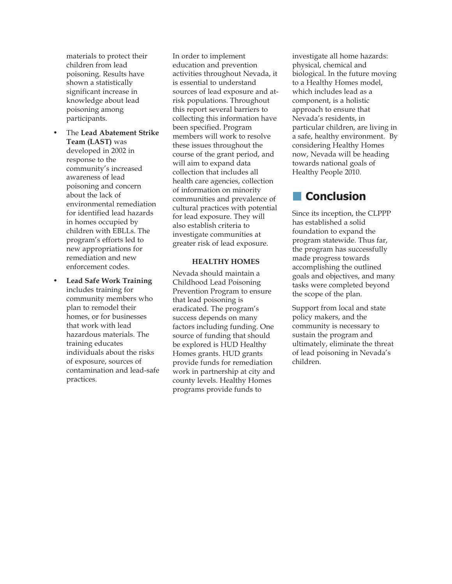materials to protect their children from lead poisoning. Results have shown a statistically significant increase in knowledge about lead poisoning among participants.

- The **Lead Abatement Strike Team (LAST)** was developed in 2002 in response to the community's increased awareness of lead poisoning and concern about the lack of environmental remediation for identified lead hazards in homes occupied by children with EBLLs. The program's efforts led to new appropriations for remediation and new enforcement codes.
- **Lead Safe Work Training** includes training for community members who plan to remodel their homes, or for businesses that work with lead hazardous materials. The training educates individuals about the risks of exposure, sources of contamination and lead-safe practices.

In order to implement education and prevention activities throughout Nevada, it is essential to understand sources of lead exposure and atrisk populations. Throughout this report several barriers to collecting this information have been specified. Program members will work to resolve these issues throughout the course of the grant period, and will aim to expand data collection that includes all health care agencies, collection of information on minority communities and prevalence of cultural practices with potential for lead exposure. They will also establish criteria to investigate communities at greater risk of lead exposure.

#### **HEALTHY HOMES**

Nevada should maintain a Childhood Lead Poisoning Prevention Program to ensure that lead poisoning is eradicated. The program's success depends on many factors including funding. One source of funding that should be explored is HUD Healthy Homes grants. HUD grants provide funds for remediation work in partnership at city and county levels. Healthy Homes programs provide funds to

investigate all home hazards: physical, chemical and biological. In the future moving to a Healthy Homes model, which includes lead as a component, is a holistic approach to ensure that Nevada's residents, in particular children, are living in a safe, healthy environment. By considering Healthy Homes now, Nevada will be heading towards national goals of Healthy People 2010.

## **Conclusion**

Since its inception, the CLPPP has established a solid foundation to expand the program statewide. Thus far, the program has successfully made progress towards accomplishing the outlined goals and objectives, and many tasks were completed beyond the scope of the plan.

Support from local and state policy makers, and the community is necessary to sustain the program and ultimately, eliminate the threat of lead poisoning in Nevada's children.